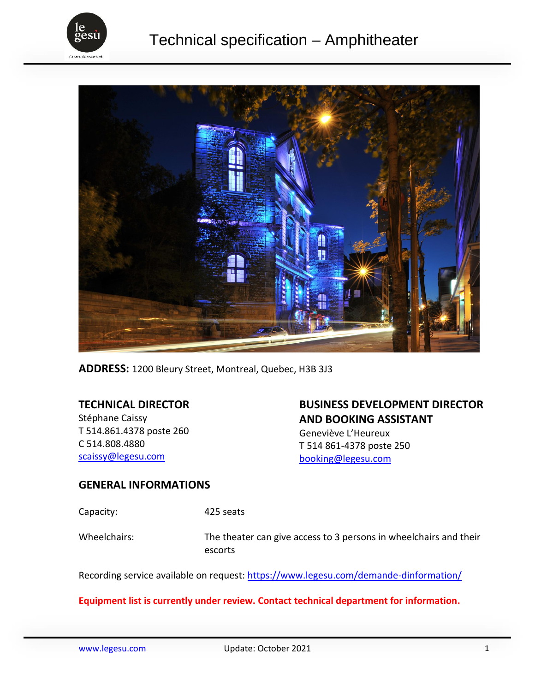



**ADDRESS:** 1200 Bleury Street, Montreal, Quebec, H3B 3J3

# **TECHNICAL DIRECTOR**

Stéphane Caissy T 514.861.4378 poste 260 C 514.808.4880 [scaissy@legesu.com](mailto:scaissy@legesu.com)

# **BUSINESS DEVELOPMENT DIRECTOR AND BOOKING ASSISTANT**

Geneviève L'Heureux T 514 861-4378 poste 250 [booking@legesu.com](mailto:booking@legesu.com)

### **GENERAL INFORMATIONS**

Capacity: 425 seats

Wheelchairs: The theater can give access to 3 persons in wheelchairs and their escorts

Recording service available on request:<https://www.legesu.com/demande-dinformation/>

### **Equipment list is currently under review. Contact technical department for information.**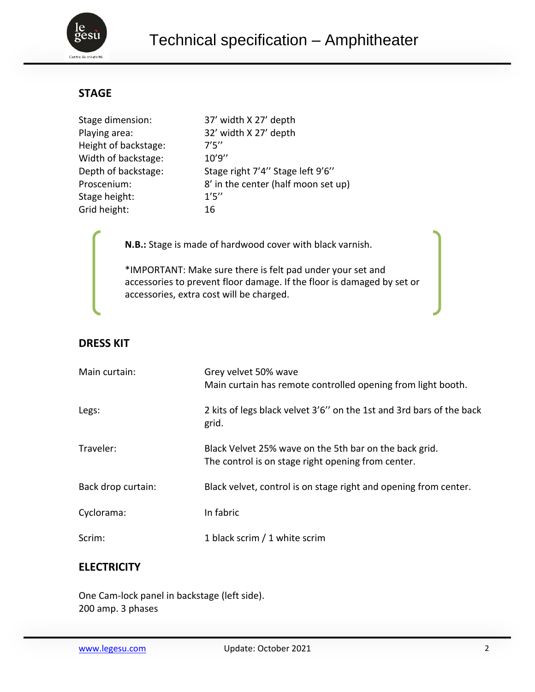

# **STAGE**

| Stage dimension:     | 37' width X 27' depth               |
|----------------------|-------------------------------------|
| Playing area:        | 32' width X 27' depth               |
| Height of backstage: | 7'5''                               |
| Width of backstage:  | 10'9''                              |
| Depth of backstage:  | Stage right 7'4" Stage left 9'6"    |
| Proscenium:          | 8' in the center (half moon set up) |
| Stage height:        | 1'5''                               |
| Grid height:         | 16                                  |

**N.B.:** Stage is made of hardwood cover with black varnish.

\*IMPORTANT: Make sure there is felt pad under your set and accessories to prevent floor damage. If the floor is damaged by set or accessories, extra cost will be charged.

# **DRESS KIT**

| Main curtain:      | Grey velvet 50% wave<br>Main curtain has remote controlled opening from light booth.                         |
|--------------------|--------------------------------------------------------------------------------------------------------------|
| Legs:              | 2 kits of legs black velvet 3'6" on the 1st and 3rd bars of the back<br>grid.                                |
| Traveler:          | Black Velvet 25% wave on the 5th bar on the back grid.<br>The control is on stage right opening from center. |
| Back drop curtain: | Black velvet, control is on stage right and opening from center.                                             |
| Cyclorama:         | In fabric                                                                                                    |
| Scrim:             | 1 black scrim / 1 white scrim                                                                                |

# **ELECTRICITY**

One Cam-lock panel in backstage (left side). 200 amp. 3 phases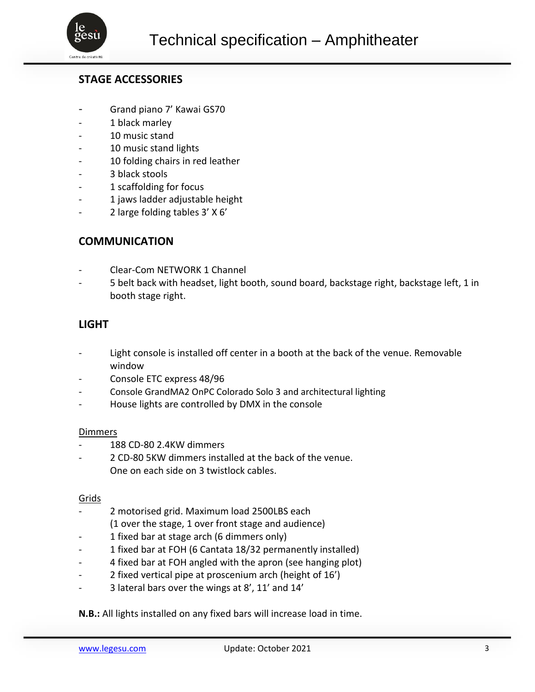

## **STAGE ACCESSORIES**

- Grand piano 7' Kawai GS70
- 1 black marley
- 10 music stand
- 10 music stand lights
- 10 folding chairs in red leather
- 3 black stools
- 1 scaffolding for focus
- 1 jaws ladder adjustable height
- 2 large folding tables 3' X 6'

## **COMMUNICATION**

- Clear-Com NETWORK 1 Channel
- 5 belt back with headset, light booth, sound board, backstage right, backstage left, 1 in booth stage right.

## **LIGHT**

- Light console is installed off center in a booth at the back of the venue. Removable window
- Console ETC express 48/96
- Console GrandMA2 OnPC Colorado Solo 3 and architectural lighting
- House lights are controlled by DMX in the console

#### Dimmers

- 188 CD-80 2.4KW dimmers
- 2 CD-80 5KW dimmers installed at the back of the venue. One on each side on 3 twistlock cables.

#### Grids

- 2 motorised grid. Maximum load 2500LBS each (1 over the stage, 1 over front stage and audience)
- 1 fixed bar at stage arch (6 dimmers only)
- 1 fixed bar at FOH (6 Cantata 18/32 permanently installed)
- 4 fixed bar at FOH angled with the apron (see hanging plot)
- 2 fixed vertical pipe at proscenium arch (height of 16')
- 3 lateral bars over the wings at 8', 11' and 14'

#### **N.B.:** All lights installed on any fixed bars will increase load in time.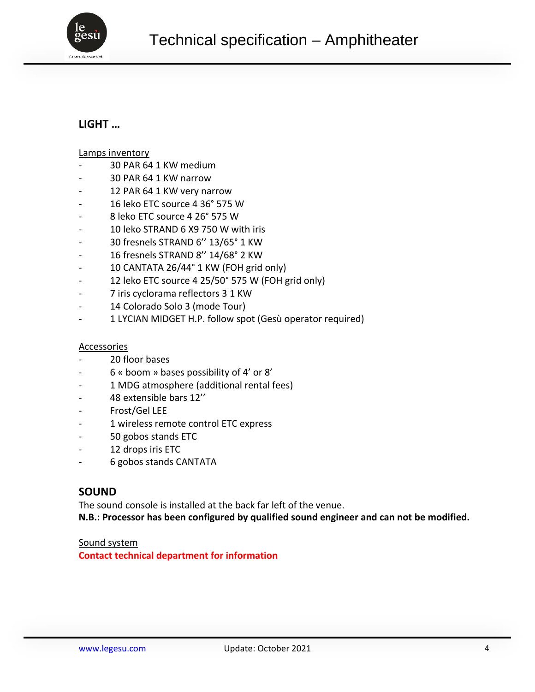

# **LIGHT …**

#### Lamps inventory

- 30 PAR 64 1 KW medium
- 30 PAR 64 1 KW narrow
- 12 PAR 64 1 KW very narrow
- 16 leko ETC source 4 36° 575 W
- 8 leko ETC source 4 26° 575 W
- 10 leko STRAND 6 X9 750 W with iris
- 30 fresnels STRAND 6'' 13/65° 1 KW
- 16 fresnels STRAND 8'' 14/68° 2 KW
- 10 CANTATA 26/44° 1 KW (FOH grid only)
- 12 leko ETC source 4 25/50° 575 W (FOH grid only)
- 7 iris cyclorama reflectors 3 1 KW
- 14 Colorado Solo 3 (mode Tour)
- 1 LYCIAN MIDGET H.P. follow spot (Gesù operator required)

#### Accessories

- 20 floor bases
- 6 « boom » bases possibility of 4' or 8'
- 1 MDG atmosphere (additional rental fees)
- 48 extensible bars 12''
- Frost/Gel LEE
- 1 wireless remote control ETC express
- 50 gobos stands ETC
- 12 drops iris ETC
- 6 gobos stands CANTATA

### **SOUND**

The sound console is installed at the back far left of the venue.

**N.B.: Processor has been configured by qualified sound engineer and can not be modified.**

#### Sound system

**Contact technical department for information**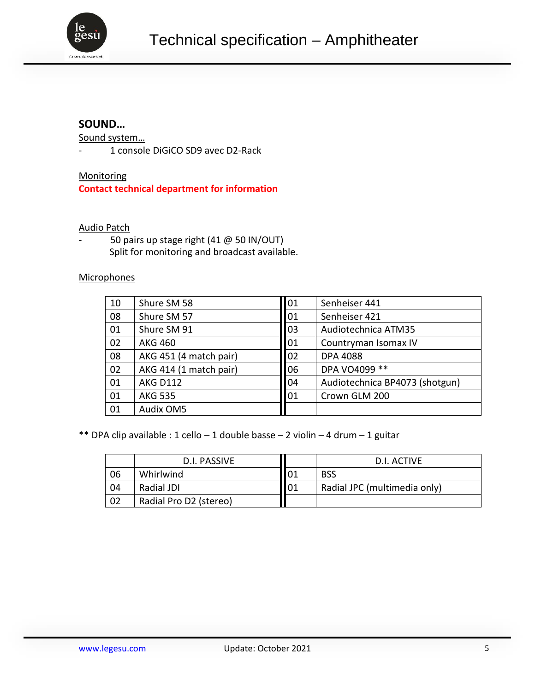

# **SOUND…**

Sound system…

- 1 console DiGiCO SD9 avec D2-Rack

**Monitoring Contact technical department for information**

### Audio Patch

50 pairs up stage right (41 @ 50 IN/OUT) Split for monitoring and broadcast available.

### **Microphones**

| 10 | Shure SM 58            | 01 | Senheiser 441                  |
|----|------------------------|----|--------------------------------|
| 08 | Shure SM 57            | 01 | Senheiser 421                  |
| 01 | Shure SM 91            | 03 | Audiotechnica ATM35            |
| 02 | <b>AKG 460</b>         | 01 | Countryman Isomax IV           |
| 08 | AKG 451 (4 match pair) | 02 | <b>DPA 4088</b>                |
| 02 | AKG 414 (1 match pair) | 06 | DPA VO4099 **                  |
| 01 | <b>AKG D112</b>        | 04 | Audiotechnica BP4073 (shotgun) |
| 01 | <b>AKG 535</b>         | 01 | Crown GLM 200                  |
| 01 | <b>Audix OM5</b>       |    |                                |

\*\* DPA clip available : 1 cello - 1 double basse - 2 violin - 4 drum - 1 guitar

|    | D.I. PASSIVE           |                 | D.I. ACTIVE                  |
|----|------------------------|-----------------|------------------------------|
| 06 | Whirlwind              | $\overline{01}$ | <b>BSS</b>                   |
| 04 | Radial JDI             | 01              | Radial JPC (multimedia only) |
| 02 | Radial Pro D2 (stereo) |                 |                              |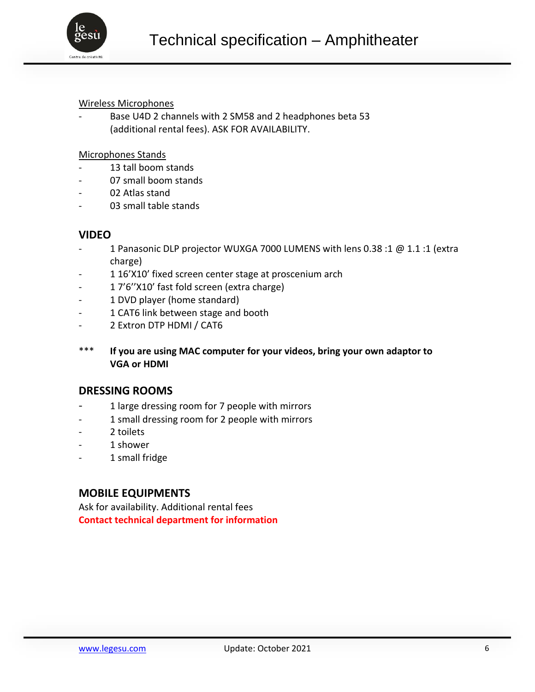

### Wireless Microphones

Base U4D 2 channels with 2 SM58 and 2 headphones beta 53 (additional rental fees). ASK FOR AVAILABILITY.

#### Microphones Stands

- 13 tall boom stands
- 07 small boom stands
- 02 Atlas stand
- 03 small table stands

## **VIDEO**

- 1 Panasonic DLP projector WUXGA 7000 LUMENS with lens 0.38 :1 @ 1.1 :1 (extra charge)
- 1 16'X10' fixed screen center stage at proscenium arch
- 1 7'6''X10' fast fold screen (extra charge)
- 1 DVD player (home standard)
- 1 CAT6 link between stage and booth
- 2 Extron DTP HDMI / CAT6
- \*\*\* **If you are using MAC computer for your videos, bring your own adaptor to VGA or HDMI**

### **DRESSING ROOMS**

- 1 large dressing room for 7 people with mirrors
- 1 small dressing room for 2 people with mirrors
- 2 toilets
- 1 shower
- 1 small fridge

## **MOBILE EQUIPMENTS**

Ask for availability. Additional rental fees **Contact technical department for information**